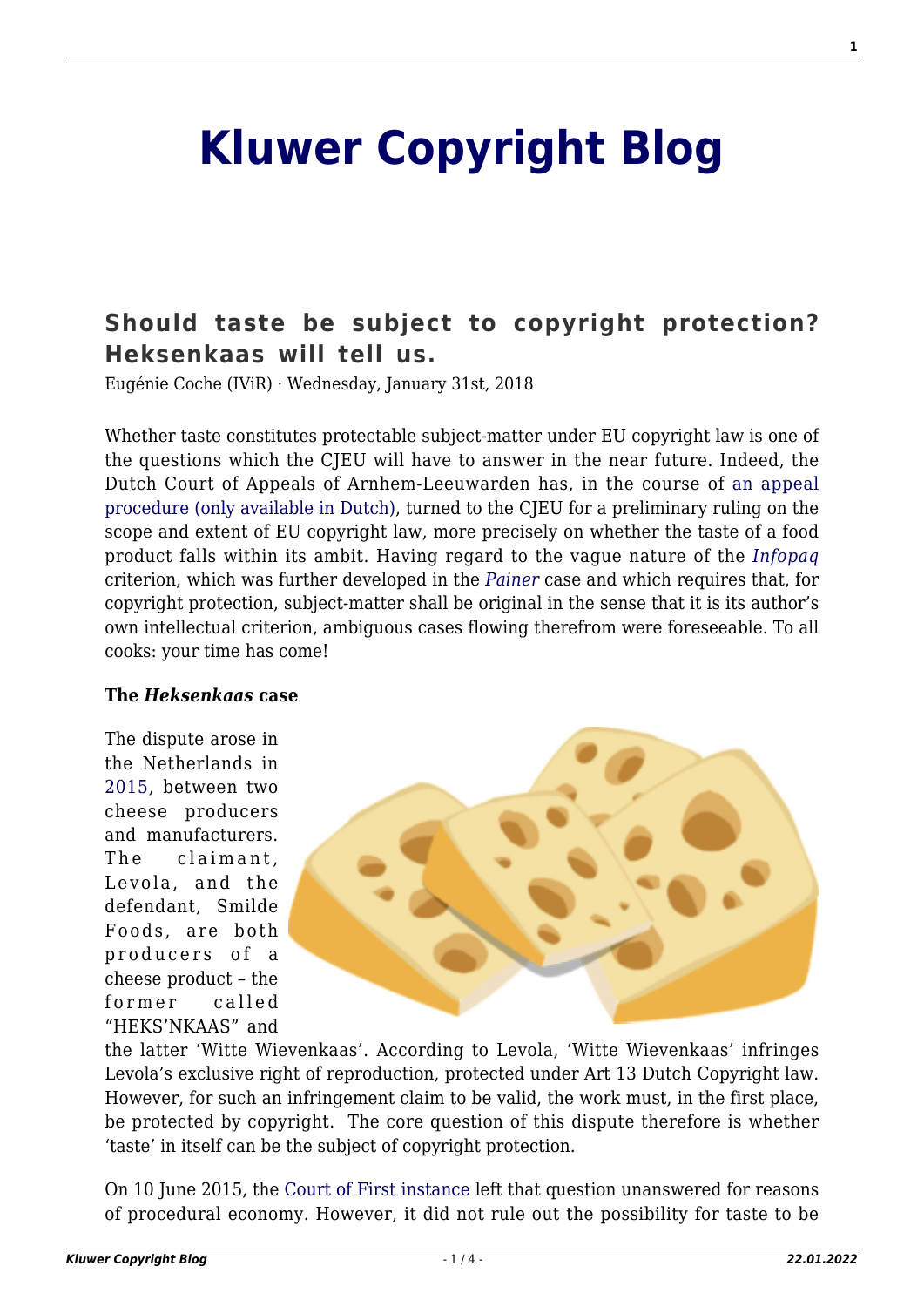# **[Kluwer Copyright Blog](http://copyrightblog.kluweriplaw.com/)**

# **[Should taste be subject to copyright protection?](http://copyrightblog.kluweriplaw.com/2018/01/31/taste-subject-copyright-protection-heksenkaas-will-tell-us/) [Heksenkaas will tell us.](http://copyrightblog.kluweriplaw.com/2018/01/31/taste-subject-copyright-protection-heksenkaas-will-tell-us/)**

Eugénie Coche (IViR) · Wednesday, January 31st, 2018

Whether taste constitutes protectable subject-matter under EU copyright law is one of the questions which the CJEU will have to answer in the near future. Indeed, the Dutch Court of Appeals of Arnhem-Leeuwarden has, in the course of [an appeal](https://uitspraken.rechtspraak.nl/inziendocument?id=ECLI:NL:GHARL:2017:6697) [procedure \(only available in Dutch\),](https://uitspraken.rechtspraak.nl/inziendocument?id=ECLI:NL:GHARL:2017:6697) turned to the CJEU for a preliminary ruling on the scope and extent of EU copyright law, more precisely on whether the taste of a food product falls within its ambit. Having regard to the vague nature of the *[Infopaq](http://curia.europa.eu/juris/document/document.jsf;jsessionid=9ea7d0f130d5137b4a30969e4b3b8b6ed1896d298bd0.e34KaxiLc3eQc40LaxqMbN4PaNiPe0?text=&docid=72482&pageIndex=0&doclang=EN&mode=lst&dir=&occ=first&part=1&cid=633893)* criterion, which was further developed in the *[Painer](http://curia.europa.eu/juris/document/document.jsf;jsessionid=9ea7d2dc30dc0bf61246a1394e2ea3a689e61cfa00e6.e34KaxiLc3qMb40Rch0SaxyNaxf0?text=&docid=115785&pageIndex=0&doclang=EN&mode=lst&dir=&occ=first&part=1&cid=529242)* case and which requires that, for copyright protection, subject-matter shall be original in the sense that it is its author's own intellectual criterion, ambiguous cases flowing therefrom were foreseeable. To all cooks: your time has come!

#### **The** *Heksenkaas* **case**

The dispute arose in the Netherlands in [2015,](https://uitspraken.rechtspraak.nl/inziendocument?id=ECLI:NL:RBGEL:2015:4674) between two cheese producers and manufacturers. The claimant, Levola, and the defendant, Smilde Foods, are both producers of a cheese product – the former called "HEKS'NKAAS" and



the latter 'Witte Wievenkaas'. According to Levola, 'Witte Wievenkaas' infringes Levola's exclusive right of reproduction, protected under Art 13 Dutch Copyright law. However, for such an infringement claim to be valid, the work must, in the first place, be protected by copyright. The core question of this dispute therefore is whether 'taste' in itself can be the subject of copyright protection.

On 10 June 2015, the [Court of First instance](https://uitspraken.rechtspraak.nl/inziendocument?id=ECLI:NL:RBGEL:2015:4674) left that question unanswered for reasons of procedural economy. However, it did not rule out the possibility for taste to be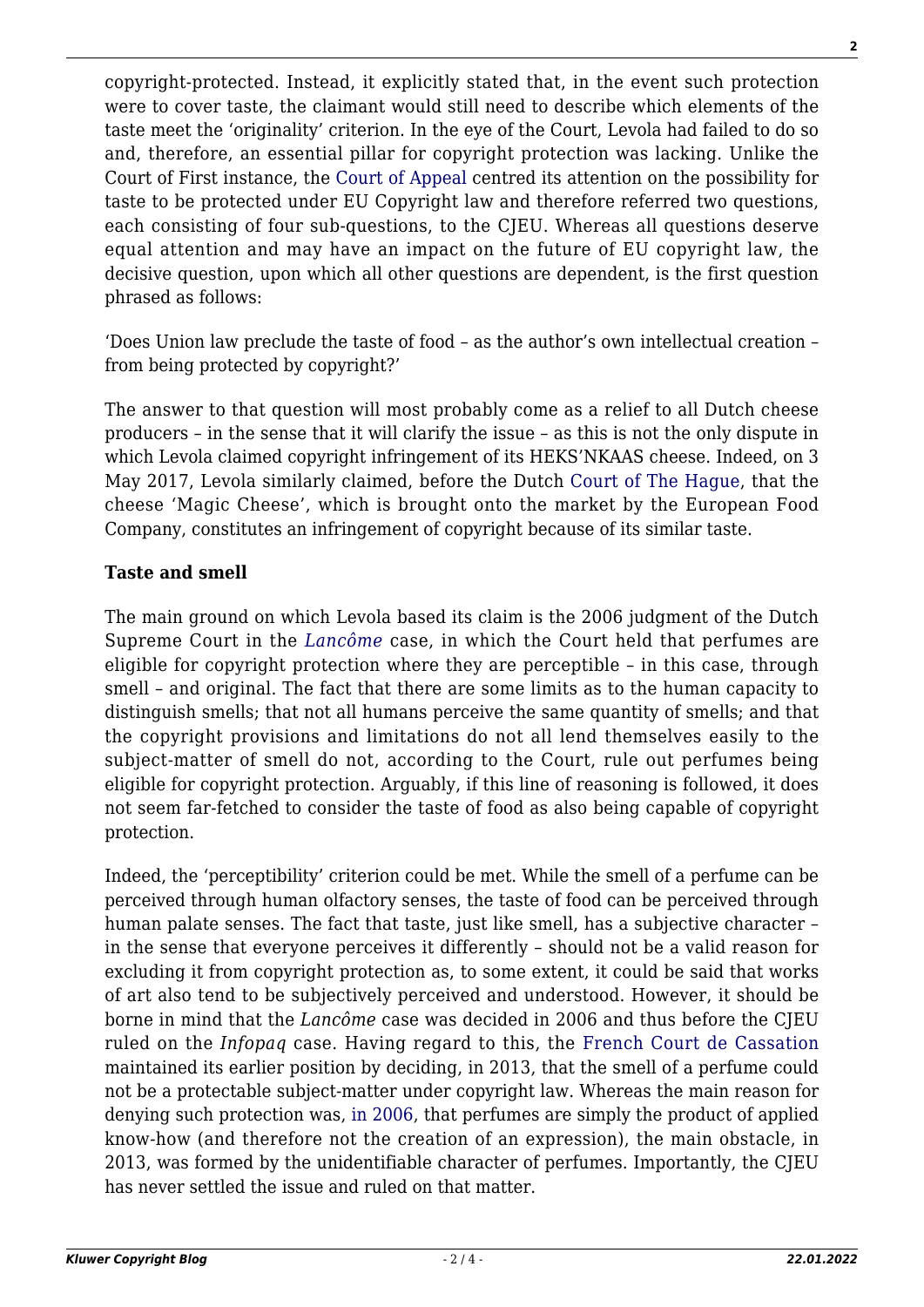copyright-protected. Instead, it explicitly stated that, in the event such protection were to cover taste, the claimant would still need to describe which elements of the taste meet the 'originality' criterion. In the eye of the Court, Levola had failed to do so and, therefore, an essential pillar for copyright protection was lacking. Unlike the Court of First instance, the [Court of Appeal](https://uitspraken.rechtspraak.nl/inziendocument?id=ECLI:NL:GHARL:2017:6697) centred its attention on the possibility for taste to be protected under EU Copyright law and therefore referred two questions, each consisting of four sub-questions, to the CJEU. Whereas all questions deserve equal attention and may have an impact on the future of EU copyright law, the decisive question, upon which all other questions are dependent, is the first question phrased as follows:

'Does Union law preclude the taste of food – as the author's own intellectual creation – from being protected by copyright?'

The answer to that question will most probably come as a relief to all Dutch cheese producers – in the sense that it will clarify the issue – as this is not the only dispute in which Levola claimed copyright infringement of its HEKS'NKAAS cheese. Indeed, on 3 May 2017, Levola similarly claimed, before the Dutch [Court of The Hague,](https://uitspraken.rechtspraak.nl/inziendocument?id=ECLI:NL:RBDHA:2017:4384#_c53dcbdf-9e83-4f0c-962f-e23fa95dde95) that the cheese 'Magic Cheese', which is brought onto the market by the European Food Company, constitutes an infringement of copyright because of its similar taste.

### **Taste and smell**

The main ground on which Levola based its claim is the 2006 judgment of the Dutch Supreme Court in the *[Lancôme](https://uitspraken.rechtspraak.nl/inziendocument?id=ECLI:NL:HR:2006:AU8940)* case, in which the Court held that perfumes are eligible for copyright protection where they are perceptible – in this case, through smell – and original. The fact that there are some limits as to the human capacity to distinguish smells; that not all humans perceive the same quantity of smells; and that the copyright provisions and limitations do not all lend themselves easily to the subject-matter of smell do not, according to the Court, rule out perfumes being eligible for copyright protection. Arguably, if this line of reasoning is followed, it does not seem far-fetched to consider the taste of food as also being capable of copyright protection.

Indeed, the 'perceptibility' criterion could be met. While the smell of a perfume can be perceived through human olfactory senses, the taste of food can be perceived through human palate senses. The fact that taste, just like smell, has a subjective character – in the sense that everyone perceives it differently – should not be a valid reason for excluding it from copyright protection as, to some extent, it could be said that works of art also tend to be subjectively perceived and understood. However, it should be borne in mind that the *Lancôme* case was decided in 2006 and thus before the CJEU ruled on the *Infopaq* case. Having regard to this, the [French Court de Cassation](https://www.legifrance.gouv.fr/affichJuriJudi.do?idTexte=JURITEXT000028329512) maintained its earlier position by deciding, in 2013, that the smell of a perfume could not be a protectable subject-matter under copyright law. Whereas the main reason for denying such protection was, [in 2006](https://www.legifrance.gouv.fr/affichJuriJudi.do?oldAction=rechJuriJudi&idTexte=JURITEXT000007056062&fastReqId=257361910&fastPos=1), that perfumes are simply the product of applied know-how (and therefore not the creation of an expression), the main obstacle, in 2013, was formed by the unidentifiable character of perfumes. Importantly, the CJEU has never settled the issue and ruled on that matter.

**2**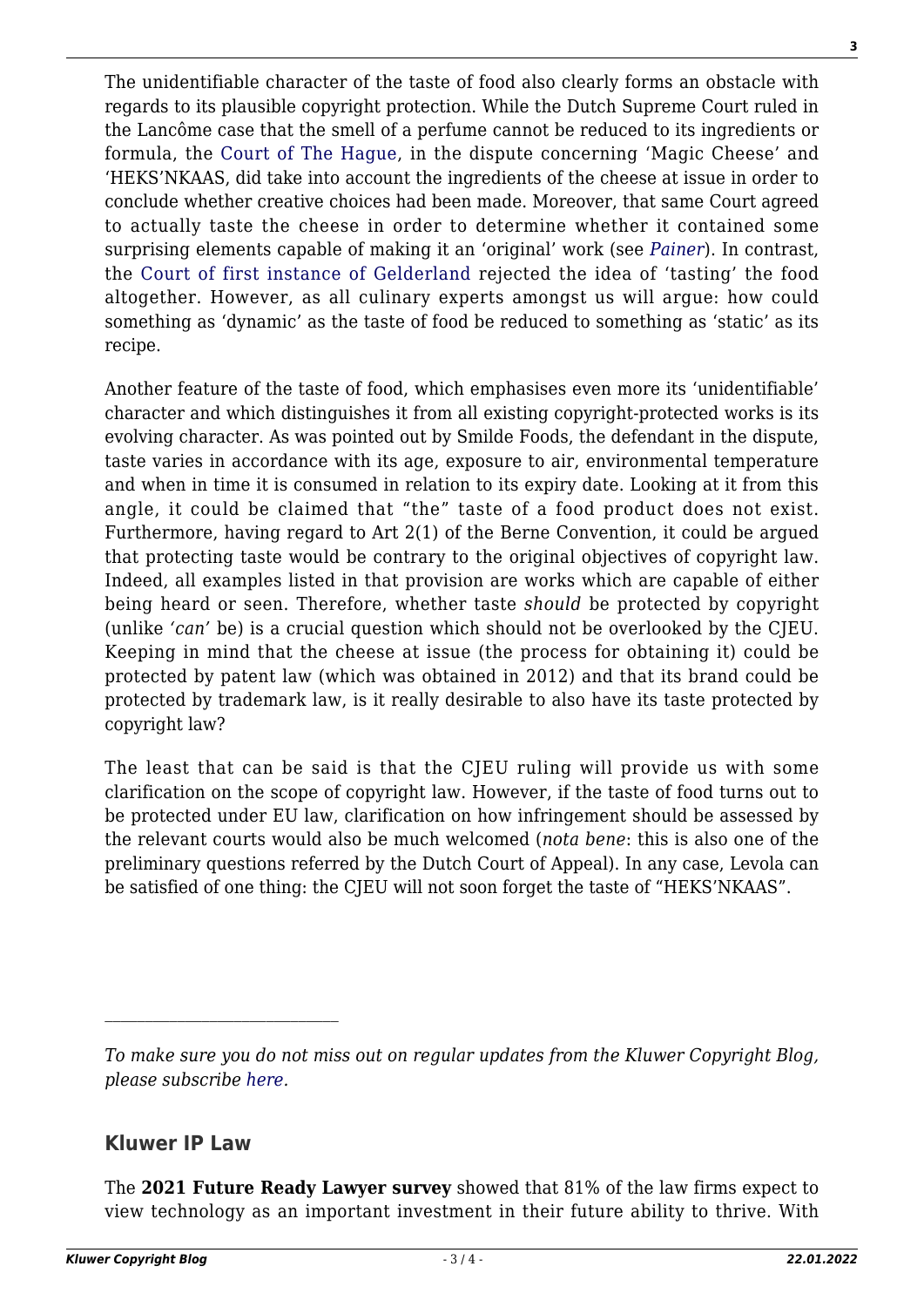**3**

The unidentifiable character of the taste of food also clearly forms an obstacle with regards to its plausible copyright protection. While the Dutch Supreme Court ruled in the Lancôme case that the smell of a perfume cannot be reduced to its ingredients or formula, the [Court of The Hague](https://uitspraken.rechtspraak.nl/inziendocument?id=ECLI:NL:RBDHA:2017:4384), in the dispute concerning 'Magic Cheese' and 'HEKS'NKAAS, did take into account the ingredients of the cheese at issue in order to conclude whether creative choices had been made. Moreover, that same Court agreed to actually taste the cheese in order to determine whether it contained some surprising elements capable of making it an 'original' work (see *[Painer](http://curia.europa.eu/juris/document/document.jsf;jsessionid=9ea7d2dc30dc0bf61246a1394e2ea3a689e61cfa00e6.e34KaxiLc3qMb40Rch0SaxyNaxf0?text=&docid=115785&pageIndex=0&doclang=EN&mode=lst&dir=&occ=first&part=1&cid=529242)*). In contrast, the [Court of first instance of Gelderland](https://uitspraken.rechtspraak.nl/inziendocument?id=ECLI:NL:RBGEL:2015:4674) rejected the idea of 'tasting' the food altogether. However, as all culinary experts amongst us will argue: how could something as 'dynamic' as the taste of food be reduced to something as 'static' as its recipe.

Another feature of the taste of food, which emphasises even more its 'unidentifiable' character and which distinguishes it from all existing copyright-protected works is its evolving character. As was pointed out by Smilde Foods, the defendant in the dispute, taste varies in accordance with its age, exposure to air, environmental temperature and when in time it is consumed in relation to its expiry date. Looking at it from this angle, it could be claimed that "the" taste of a food product does not exist. Furthermore, having regard to Art 2(1) of the Berne Convention, it could be argued that protecting taste would be contrary to the original objectives of copyright law. Indeed, all examples listed in that provision are works which are capable of either being heard or seen. Therefore, whether taste *should* be protected by copyright (unlike *'can'* be) is a crucial question which should not be overlooked by the CJEU. Keeping in mind that the cheese at issue (the process for obtaining it) could be protected by patent law (which was obtained in 2012) and that its brand could be protected by trademark law, is it really desirable to also have its taste protected by copyright law?

The least that can be said is that the CJEU ruling will provide us with some clarification on the scope of copyright law. However, if the taste of food turns out to be protected under EU law, clarification on how infringement should be assessed by the relevant courts would also be much welcomed (*nota bene*: this is also one of the preliminary questions referred by the Dutch Court of Appeal). In any case, Levola can be satisfied of one thing: the CJEU will not soon forget the taste of "HEKS'NKAAS".

## **Kluwer IP Law**

The **2021 Future Ready Lawyer survey** showed that 81% of the law firms expect to view technology as an important investment in their future ability to thrive. With

*To make sure you do not miss out on regular updates from the Kluwer Copyright Blog, please subscribe [here.](http://copyrightblog.kluweriplaw.com/newsletter)*